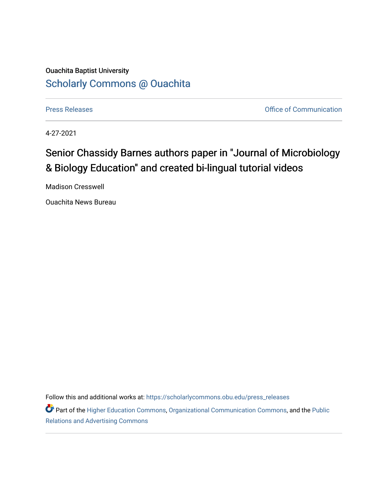## Ouachita Baptist University [Scholarly Commons @ Ouachita](https://scholarlycommons.obu.edu/)

[Press Releases](https://scholarlycommons.obu.edu/press_releases) **Press Releases Communication Press Releases Office of Communication** 

4-27-2021

## Senior Chassidy Barnes authors paper in "Journal of Microbiology & Biology Education" and created bi-lingual tutorial videos

Madison Cresswell

Ouachita News Bureau

Follow this and additional works at: [https://scholarlycommons.obu.edu/press\\_releases](https://scholarlycommons.obu.edu/press_releases?utm_source=scholarlycommons.obu.edu%2Fpress_releases%2F800&utm_medium=PDF&utm_campaign=PDFCoverPages)

Part of the [Higher Education Commons,](http://network.bepress.com/hgg/discipline/1245?utm_source=scholarlycommons.obu.edu%2Fpress_releases%2F800&utm_medium=PDF&utm_campaign=PDFCoverPages) [Organizational Communication Commons,](http://network.bepress.com/hgg/discipline/335?utm_source=scholarlycommons.obu.edu%2Fpress_releases%2F800&utm_medium=PDF&utm_campaign=PDFCoverPages) and the [Public](http://network.bepress.com/hgg/discipline/336?utm_source=scholarlycommons.obu.edu%2Fpress_releases%2F800&utm_medium=PDF&utm_campaign=PDFCoverPages) [Relations and Advertising Commons](http://network.bepress.com/hgg/discipline/336?utm_source=scholarlycommons.obu.edu%2Fpress_releases%2F800&utm_medium=PDF&utm_campaign=PDFCoverPages)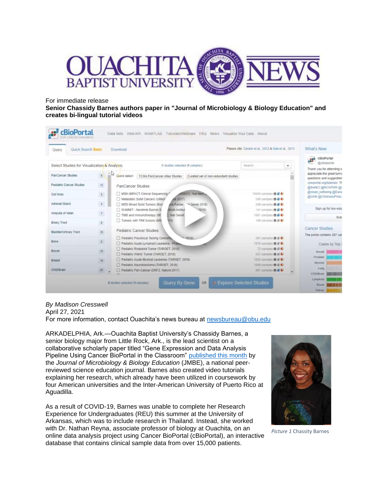

For immediate release

**Senior Chassidy Barnes authors paper in "Journal of Microbiology & Biology Education" and creates bi-lingual tutorial videos**

| Quick Search Beta!<br>Query                                                                    |                | Download                                                                                             | Please cite: Cerami et al., 2012 & Gao et al., 2013                         | What's New                                                           |
|------------------------------------------------------------------------------------------------|----------------|------------------------------------------------------------------------------------------------------|-----------------------------------------------------------------------------|----------------------------------------------------------------------|
| Select Studies for Visualization & Analysis:<br>Search.<br>0 studies selected (0 samples)<br>٠ |                |                                                                                                      |                                                                             | cBioPortal<br><b>ABP</b><br>@cbioportal<br>Thank you for attending o |
| <b>PanCancer Studies</b>                                                                       |                | <b>TCGA PanCancer Atlas Studies</b><br>Curated set of non-redundant studies<br>Quick select          |                                                                             | appreciate the great turno<br>questions and suggestion               |
| Pediatric Cancer Studies                                                                       | 12             | <b>PanCancer Studies</b>                                                                             |                                                                             | chioportal org/tutorials. Th<br>@theNCI @NCIHTAN @                   |
| Cell lines                                                                                     | $\,$ $\,$ $\,$ | MSKCC, Nat Med a<br>MSK-IMPACT Clinical Sequencing /<br>Metastatic Solid Cancers (UMich)<br>40 2017) | 10945 samples <b>0 8 0</b><br>500 samples $\theta \neq 0$                   | @sloan_kettering @Dana<br>@UHN @ChildrensPhila                       |
| Adrenal Gland                                                                                  | $\frac{3}{2}$  | MSS Mored Solid Tumors (Bran<br>ma-Farber.<br>*4.Genet 2018)                                         | 249 samples $\theta \neq 0$                                                 |                                                                      |
| Ampulla of Vater                                                                               | $\Lambda$      | SUMMIT - Neratinib Basket St<br><b>Multi-Institut</b><br>20181<br>2. Nat Genet                       | 141 samples <b>0 B C</b><br>1661 samples <b>0 B C</b>                       | Sign up for low-volu                                                 |
| <b>Biliary Tract</b>                                                                           | $\mathfrak g$  | TMB and Immunotherapy (M)<br>Tumors with TRK fusions (MS<br>1191                                     | 106 samples <b>O</b> B C                                                    | Sub                                                                  |
| Bladder/Urinary Tract                                                                          | 15             | <b>Pediatric Cancer Studies</b>                                                                      |                                                                             | <b>Cancer Studies</b>                                                |
|                                                                                                |                | Pediatric Preclinical Testing Consortius<br>2019                                                     | 261 samples <b>O R C</b>                                                    | The portal contains 287 can                                          |
| Bone                                                                                           | $\overline{z}$ | Pediatric Acute Lymphoid Leukemia - Phase                                                            | 1978 samples <b>0</b> B C                                                   | Cases by Top?                                                        |
| Bowel                                                                                          | 10             | Pediatric Rhabdoid Tumor (TARGET, 2018)                                                              | 72 samples <b>0 B C</b>                                                     | Breast                                                               |
| Breast                                                                                         | 15             | Pediatric Wilms' Tumor (TARGET, 2018)<br>Pediatric Acute Myeloid Leukemia (TARGET, 2018)             | 657 samples <b>O B C</b><br>1025 samples $\mathbf{0} \triangleq \mathbf{0}$ | Prostate                                                             |
|                                                                                                |                | Pediatric Neuroblastoma (TARGET, 2018)                                                               | 1089 samples $\mathbf{0} \triangleq \mathbf{0}$                             | Myeloid                                                              |
| <b>CNS/Brain</b>                                                                               | 20             | Pediatric Pan-Cancer (DKFZ, Nature 2017)                                                             | 961 samples <b>O 2 C</b>                                                    | Lung<br><b>CNS/Bram</b>                                              |

## *By Madison Cresswell*

April 27, 2021

For more information, contact Ouachita's news bureau at [newsbureau@obu.edu](mailto:newsbureau@obu.edu)

ARKADELPHIA, Ark.—Ouachita Baptist University's Chassidy Barnes, a senior biology major from Little Rock, Ark., is the lead scientist on a collaborative scholarly paper titled "Gene Expression and Data Analysis Pipeline Using Cancer BioPortal in the Classroom" [published this month](https://www.ncbi.nlm.nih.gov/pmc/articles/PMC8011872/) by the *Journal of Microbiology & Biology Education* (JMBE), a national peerreviewed science education journal. Barnes also created video tutorials explaining her research, which already have been utilized in coursework by four American universities and the Inter-American University of Puerto Rico at Aguadilla.

As a result of COVID-19, Barnes was unable to complete her Research Experience for Undergraduates (REU) this summer at the University of Arkansas, which was to include research in Thailand. Instead, she worked with Dr. Nathan Reyna, associate professor of biology at Ouachita, on an online data analysis project using Cancer BioPortal (cBioPortal), an interactive database that contains clinical sample data from over 15,000 patients.



*Picture 1* Chassity Barnes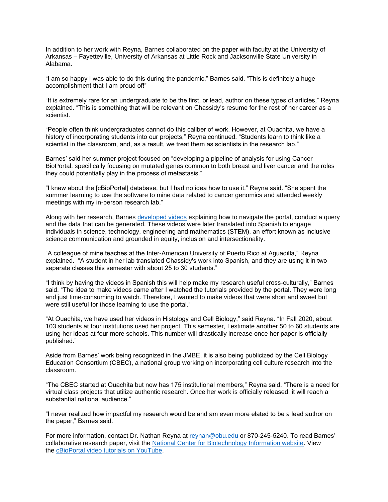In addition to her work with Reyna, Barnes collaborated on the paper with faculty at the University of Arkansas – Fayetteville, University of Arkansas at Little Rock and Jacksonville State University in Alabama.

"I am so happy I was able to do this during the pandemic," Barnes said. "This is definitely a huge accomplishment that I am proud of!"

"It is extremely rare for an undergraduate to be the first, or lead, author on these types of articles," Reyna explained. "This is something that will be relevant on Chassidy's resume for the rest of her career as a scientist.

"People often think undergraduates cannot do this caliber of work. However, at Ouachita, we have a history of incorporating students into our projects," Reyna continued. "Students learn to think like a scientist in the classroom, and, as a result, we treat them as scientists in the research lab."

Barnes' said her summer project focused on "developing a pipeline of analysis for using Cancer BioPortal, specifically focusing on mutated genes common to both breast and liver cancer and the roles they could potentially play in the process of metastasis."

"I knew about the [cBioPortal] database, but I had no idea how to use it," Reyna said. "She spent the summer learning to use the software to mine data related to cancer genomics and attended weekly meetings with my in-person research lab."

Along with her research, Barnes [developed videos](https://www.youtube.com/playlist?list=PLVl417rgx4ajQRHZk8YgvL_-Z_s1rTVtj) explaining how to navigate the portal, conduct a query and the data that can be generated. These videos were later translated into Spanish to engage individuals in science, technology, engineering and mathematics (STEM), an effort known as inclusive science communication and grounded in equity, inclusion and intersectionality.

"A colleague of mine teaches at the Inter-American University of Puerto Rico at Aguadilla," Reyna explained. "A student in her lab translated Chassidy's work into Spanish, and they are using it in two separate classes this semester with about 25 to 30 students."

"I think by having the videos in Spanish this will help make my research useful cross-culturally," Barnes said. "The idea to make videos came after I watched the tutorials provided by the portal. They were long and just time-consuming to watch. Therefore, I wanted to make videos that were short and sweet but were still useful for those learning to use the portal."

"At Ouachita, we have used her videos in Histology and Cell Biology," said Reyna. "In Fall 2020, about 103 students at four institutions used her project. This semester, I estimate another 50 to 60 students are using her ideas at four more schools. This number will drastically increase once her paper is officially published."

Aside from Barnes' work being recognized in the JMBE, it is also being publicized by the Cell Biology Education Consortium (CBEC), a national group working on incorporating cell culture research into the classroom.

"The CBEC started at Ouachita but now has 175 institutional members," Reyna said. "There is a need for virtual class projects that utilize authentic research. Once her work is officially released, it will reach a substantial national audience."

"I never realized how impactful my research would be and am even more elated to be a lead author on the paper," Barnes said.

For more information, contact Dr. Nathan Reyna at [reynan@obu.edu](mailto:reynan@obu.edu) or 870-245-5240. To read Barnes' collaborative research paper, visit the [National Center for Biotechnology Information website.](https://www.ncbi.nlm.nih.gov/pmc/articles/PMC8011872/) View the [cBioPortal video tutorials on YouTube.](https://www.youtube.com/playlist?list=PLVl417rgx4ajQRHZk8YgvL_-Z_s1rTVtj)